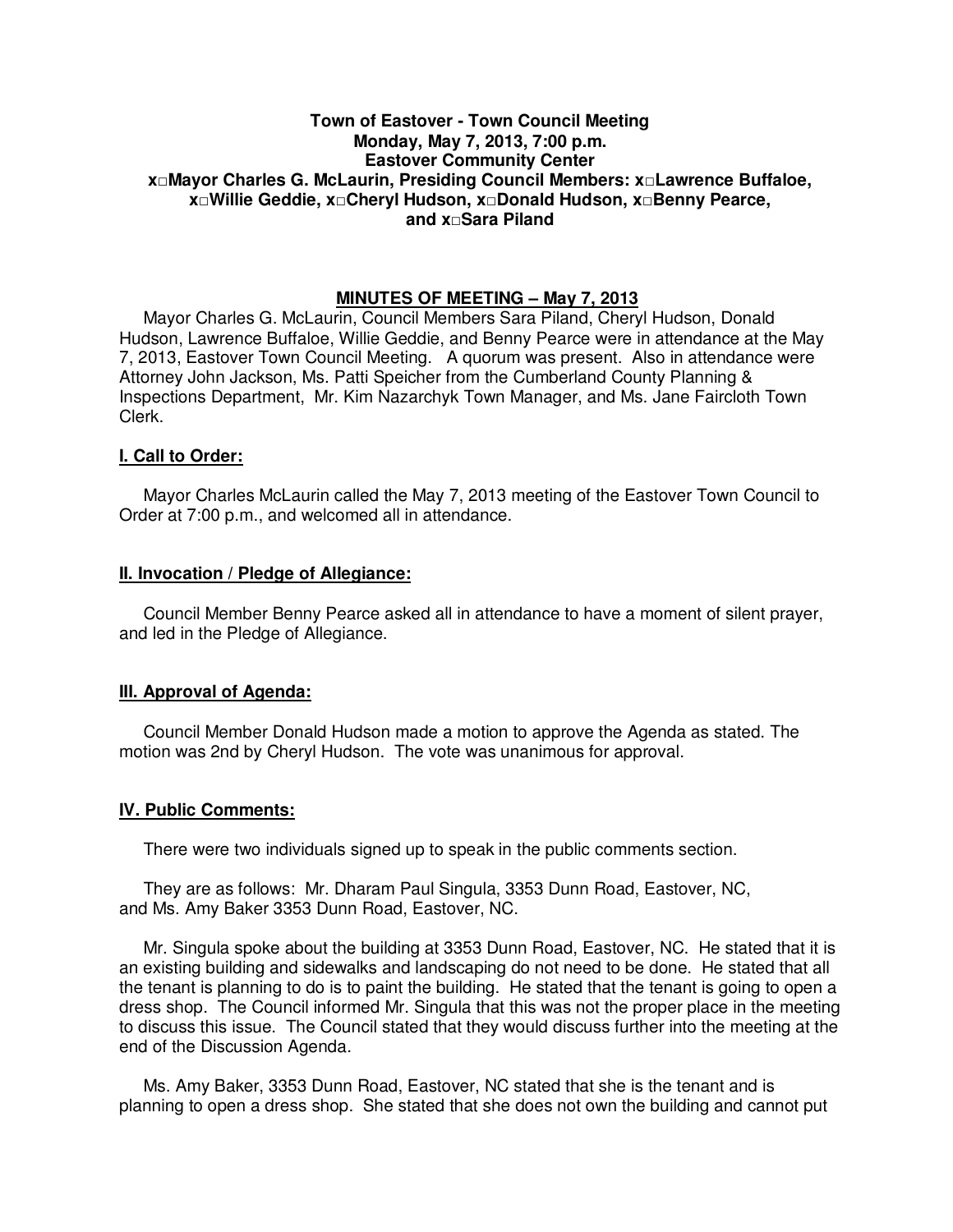## **Town of Eastover - Town Council Meeting Monday, May 7, 2013, 7:00 p.m. Eastover Community Center x□Mayor Charles G. McLaurin, Presiding Council Members: x□Lawrence Buffaloe, x□Willie Geddie, x□Cheryl Hudson, x□Donald Hudson, x□Benny Pearce, and x□Sara Piland**

## **MINUTES OF MEETING – May 7, 2013**

Mayor Charles G. McLaurin, Council Members Sara Piland, Cheryl Hudson, Donald Hudson, Lawrence Buffaloe, Willie Geddie, and Benny Pearce were in attendance at the May 7, 2013, Eastover Town Council Meeting. A quorum was present. Also in attendance were Attorney John Jackson, Ms. Patti Speicher from the Cumberland County Planning & Inspections Department, Mr. Kim Nazarchyk Town Manager, and Ms. Jane Faircloth Town Clerk.

### **I. Call to Order:**

Mayor Charles McLaurin called the May 7, 2013 meeting of the Eastover Town Council to Order at 7:00 p.m., and welcomed all in attendance.

### **II. Invocation / Pledge of Allegiance:**

 Council Member Benny Pearce asked all in attendance to have a moment of silent prayer, and led in the Pledge of Allegiance.

### **III. Approval of Agenda:**

 Council Member Donald Hudson made a motion to approve the Agenda as stated. The motion was 2nd by Cheryl Hudson. The vote was unanimous for approval.

#### **IV. Public Comments:**

There were two individuals signed up to speak in the public comments section.

 They are as follows: Mr. Dharam Paul Singula, 3353 Dunn Road, Eastover, NC, and Ms. Amy Baker 3353 Dunn Road, Eastover, NC.

 Mr. Singula spoke about the building at 3353 Dunn Road, Eastover, NC. He stated that it is an existing building and sidewalks and landscaping do not need to be done. He stated that all the tenant is planning to do is to paint the building. He stated that the tenant is going to open a dress shop. The Council informed Mr. Singula that this was not the proper place in the meeting to discuss this issue. The Council stated that they would discuss further into the meeting at the end of the Discussion Agenda.

 Ms. Amy Baker, 3353 Dunn Road, Eastover, NC stated that she is the tenant and is planning to open a dress shop. She stated that she does not own the building and cannot put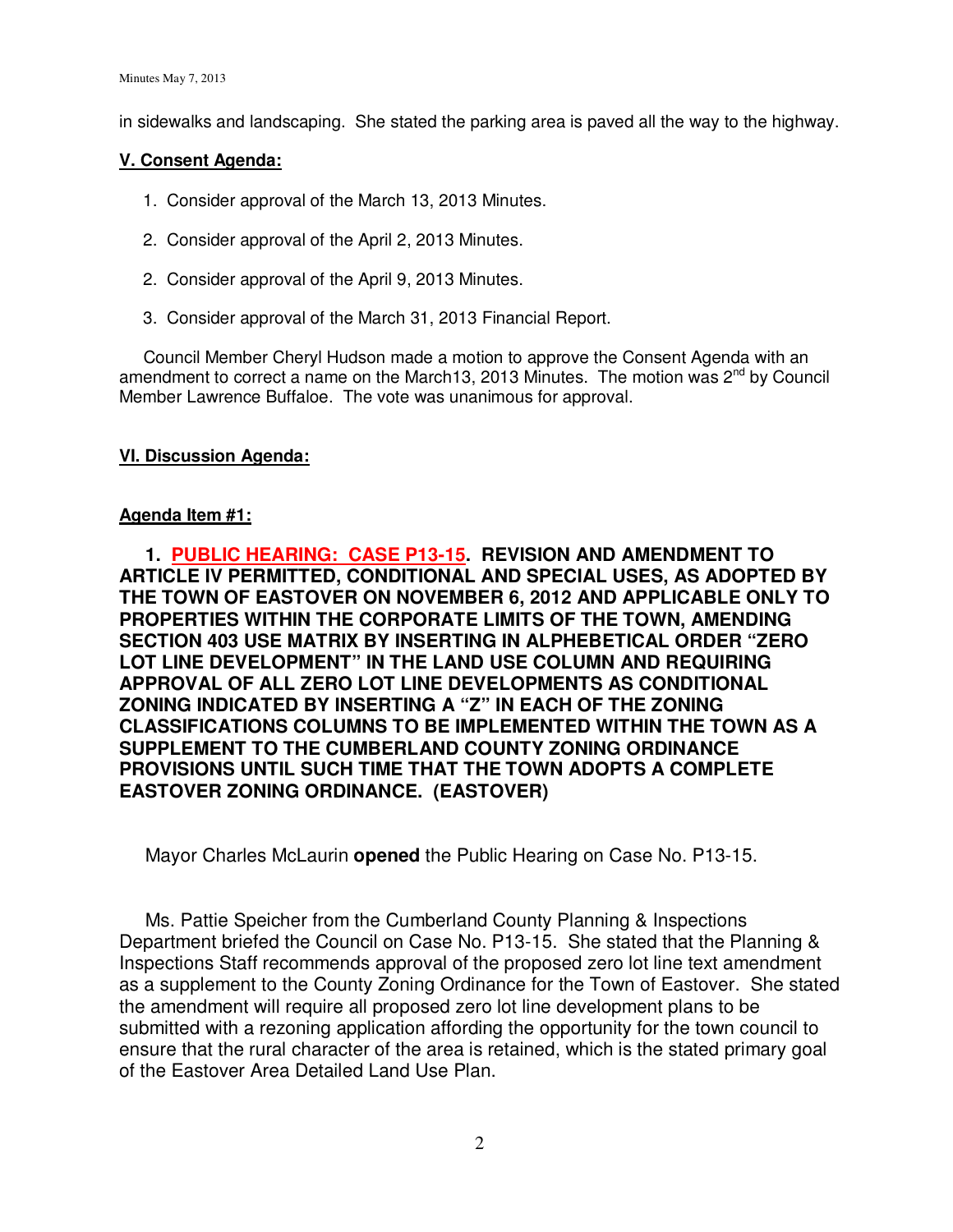in sidewalks and landscaping. She stated the parking area is paved all the way to the highway.

# **V. Consent Agenda:**

- 1. Consider approval of the March 13, 2013 Minutes.
- 2. Consider approval of the April 2, 2013 Minutes.
- 2. Consider approval of the April 9, 2013 Minutes.
- 3. Consider approval of the March 31, 2013 Financial Report.

 Council Member Cheryl Hudson made a motion to approve the Consent Agenda with an amendment to correct a name on the March13, 2013 Minutes. The motion was  $2^{nd}$  by Council Member Lawrence Buffaloe. The vote was unanimous for approval.

# **VI. Discussion Agenda:**

# **Agenda Item #1:**

 **1. PUBLIC HEARING: CASE P13-15. REVISION AND AMENDMENT TO ARTICLE IV PERMITTED, CONDITIONAL AND SPECIAL USES, AS ADOPTED BY THE TOWN OF EASTOVER ON NOVEMBER 6, 2012 AND APPLICABLE ONLY TO PROPERTIES WITHIN THE CORPORATE LIMITS OF THE TOWN, AMENDING SECTION 403 USE MATRIX BY INSERTING IN ALPHEBETICAL ORDER "ZERO LOT LINE DEVELOPMENT" IN THE LAND USE COLUMN AND REQUIRING APPROVAL OF ALL ZERO LOT LINE DEVELOPMENTS AS CONDITIONAL ZONING INDICATED BY INSERTING A "Z" IN EACH OF THE ZONING CLASSIFICATIONS COLUMNS TO BE IMPLEMENTED WITHIN THE TOWN AS A SUPPLEMENT TO THE CUMBERLAND COUNTY ZONING ORDINANCE PROVISIONS UNTIL SUCH TIME THAT THE TOWN ADOPTS A COMPLETE EASTOVER ZONING ORDINANCE. (EASTOVER)** 

Mayor Charles McLaurin **opened** the Public Hearing on Case No. P13-15.

 Ms. Pattie Speicher from the Cumberland County Planning & Inspections Department briefed the Council on Case No. P13-15. She stated that the Planning & Inspections Staff recommends approval of the proposed zero lot line text amendment as a supplement to the County Zoning Ordinance for the Town of Eastover. She stated the amendment will require all proposed zero lot line development plans to be submitted with a rezoning application affording the opportunity for the town council to ensure that the rural character of the area is retained, which is the stated primary goal of the Eastover Area Detailed Land Use Plan.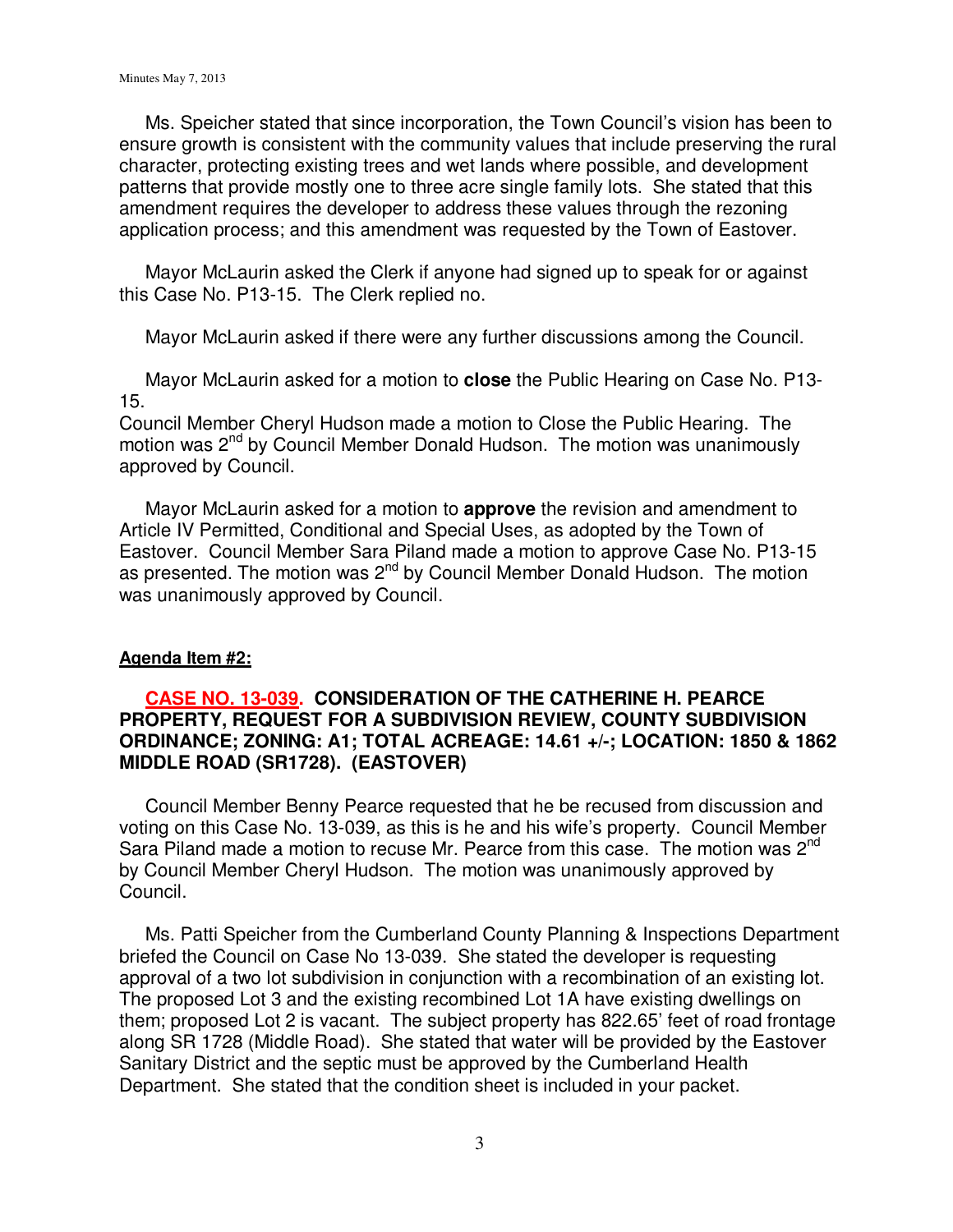Ms. Speicher stated that since incorporation, the Town Council's vision has been to ensure growth is consistent with the community values that include preserving the rural character, protecting existing trees and wet lands where possible, and development patterns that provide mostly one to three acre single family lots. She stated that this amendment requires the developer to address these values through the rezoning application process; and this amendment was requested by the Town of Eastover.

 Mayor McLaurin asked the Clerk if anyone had signed up to speak for or against this Case No. P13-15. The Clerk replied no.

Mayor McLaurin asked if there were any further discussions among the Council.

 Mayor McLaurin asked for a motion to **close** the Public Hearing on Case No. P13- 15.

Council Member Cheryl Hudson made a motion to Close the Public Hearing. The motion was 2<sup>nd</sup> by Council Member Donald Hudson. The motion was unanimously approved by Council.

Mayor McLaurin asked for a motion to **approve** the revision and amendment to Article IV Permitted, Conditional and Special Uses, as adopted by the Town of Eastover. Council Member Sara Piland made a motion to approve Case No. P13-15 as presented. The motion was 2nd by Council Member Donald Hudson.The motion was unanimously approved by Council.

## **Agenda Item #2:**

# **CASE NO. 13-039. CONSIDERATION OF THE CATHERINE H. PEARCE PROPERTY, REQUEST FOR A SUBDIVISION REVIEW, COUNTY SUBDIVISION ORDINANCE; ZONING: A1; TOTAL ACREAGE: 14.61 +/-; LOCATION: 1850 & 1862 MIDDLE ROAD (SR1728). (EASTOVER)**

 Council Member Benny Pearce requested that he be recused from discussion and voting on this Case No. 13-039, as this is he and his wife's property. Council Member Sara Piland made a motion to recuse Mr. Pearce from this case. The motion was 2<sup>nd</sup> by Council Member Cheryl Hudson.The motion was unanimously approved by Council.

Ms. Patti Speicher from the Cumberland County Planning & Inspections Department briefed the Council on Case No 13-039. She stated the developer is requesting approval of a two lot subdivision in conjunction with a recombination of an existing lot. The proposed Lot 3 and the existing recombined Lot 1A have existing dwellings on them; proposed Lot 2 is vacant. The subject property has 822.65' feet of road frontage along SR 1728 (Middle Road). She stated that water will be provided by the Eastover Sanitary District and the septic must be approved by the Cumberland Health Department. She stated that the condition sheet is included in your packet.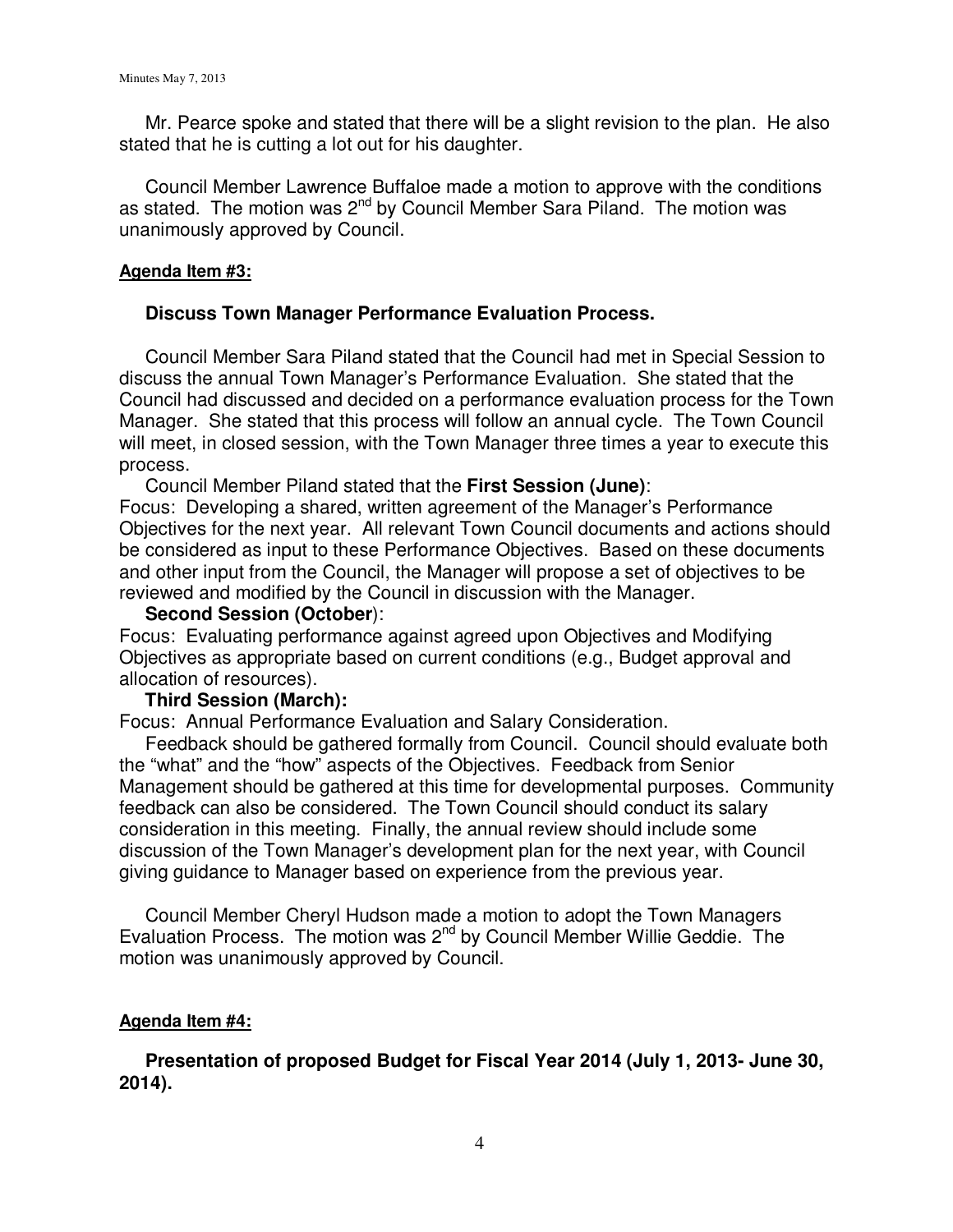Mr. Pearce spoke and stated that there will be a slight revision to the plan. He also stated that he is cutting a lot out for his daughter.

 Council Member Lawrence Buffaloe made a motion to approve with the conditions as stated. The motion was 2<sup>nd</sup> by Council Member Sara Piland. The motion was unanimously approved by Council.

# **Agenda Item #3:**

# **Discuss Town Manager Performance Evaluation Process.**

 Council Member Sara Piland stated that the Council had met in Special Session to discuss the annual Town Manager's Performance Evaluation. She stated that the Council had discussed and decided on a performance evaluation process for the Town Manager. She stated that this process will follow an annual cycle. The Town Council will meet, in closed session, with the Town Manager three times a year to execute this process.

Council Member Piland stated that the **First Session (June)**:

Focus: Developing a shared, written agreement of the Manager's Performance Objectives for the next year. All relevant Town Council documents and actions should be considered as input to these Performance Objectives. Based on these documents and other input from the Council, the Manager will propose a set of objectives to be reviewed and modified by the Council in discussion with the Manager.

# **Second Session (October**):

Focus: Evaluating performance against agreed upon Objectives and Modifying Objectives as appropriate based on current conditions (e.g., Budget approval and allocation of resources).

# **Third Session (March):**

Focus: Annual Performance Evaluation and Salary Consideration.

 Feedback should be gathered formally from Council. Council should evaluate both the "what" and the "how" aspects of the Objectives. Feedback from Senior Management should be gathered at this time for developmental purposes. Community feedback can also be considered. The Town Council should conduct its salary consideration in this meeting. Finally, the annual review should include some discussion of the Town Manager's development plan for the next year, with Council giving guidance to Manager based on experience from the previous year.

 Council Member Cheryl Hudson made a motion to adopt the Town Managers Evaluation Process. The motion was 2<sup>nd</sup> by Council Member Willie Geddie. The motion was unanimously approved by Council.

# **Agenda Item #4:**

 **Presentation of proposed Budget for Fiscal Year 2014 (July 1, 2013- June 30, 2014).**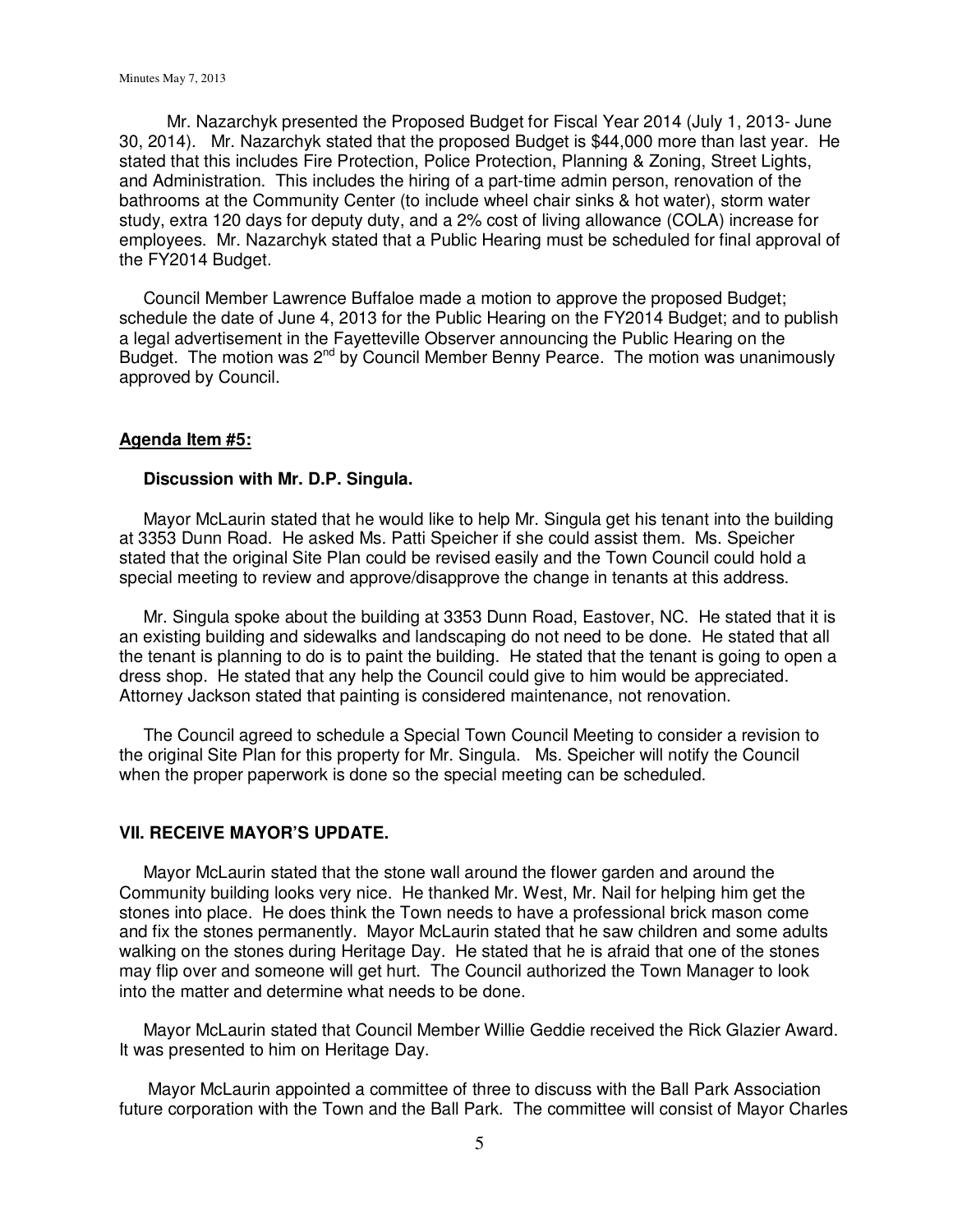Mr. Nazarchyk presented the Proposed Budget for Fiscal Year 2014 (July 1, 2013- June 30, 2014). Mr. Nazarchyk stated that the proposed Budget is \$44,000 more than last year. He stated that this includes Fire Protection, Police Protection, Planning & Zoning, Street Lights, and Administration. This includes the hiring of a part-time admin person, renovation of the bathrooms at the Community Center (to include wheel chair sinks & hot water), storm water study, extra 120 days for deputy duty, and a 2% cost of living allowance (COLA) increase for employees. Mr. Nazarchyk stated that a Public Hearing must be scheduled for final approval of the FY2014 Budget.

 Council Member Lawrence Buffaloe made a motion to approve the proposed Budget; schedule the date of June 4, 2013 for the Public Hearing on the FY2014 Budget; and to publish a legal advertisement in the Fayetteville Observer announcing the Public Hearing on the Budget. The motion was 2<sup>nd</sup> by Council Member Benny Pearce. The motion was unanimously approved by Council.

### **Agenda Item #5:**

### **Discussion with Mr. D.P. Singula.**

 Mayor McLaurin stated that he would like to help Mr. Singula get his tenant into the building at 3353 Dunn Road. He asked Ms. Patti Speicher if she could assist them. Ms. Speicher stated that the original Site Plan could be revised easily and the Town Council could hold a special meeting to review and approve/disapprove the change in tenants at this address.

 Mr. Singula spoke about the building at 3353 Dunn Road, Eastover, NC. He stated that it is an existing building and sidewalks and landscaping do not need to be done. He stated that all the tenant is planning to do is to paint the building. He stated that the tenant is going to open a dress shop. He stated that any help the Council could give to him would be appreciated. Attorney Jackson stated that painting is considered maintenance, not renovation.

 The Council agreed to schedule a Special Town Council Meeting to consider a revision to the original Site Plan for this property for Mr. Singula. Ms. Speicher will notify the Council when the proper paperwork is done so the special meeting can be scheduled.

## **VII. RECEIVE MAYOR'S UPDATE.**

 Mayor McLaurin stated that the stone wall around the flower garden and around the Community building looks very nice. He thanked Mr. West, Mr. Nail for helping him get the stones into place. He does think the Town needs to have a professional brick mason come and fix the stones permanently. Mayor McLaurin stated that he saw children and some adults walking on the stones during Heritage Day. He stated that he is afraid that one of the stones may flip over and someone will get hurt. The Council authorized the Town Manager to look into the matter and determine what needs to be done.

Mayor McLaurin stated that Council Member Willie Geddie received the Rick Glazier Award. It was presented to him on Heritage Day.

 Mayor McLaurin appointed a committee of three to discuss with the Ball Park Association future corporation with the Town and the Ball Park. The committee will consist of Mayor Charles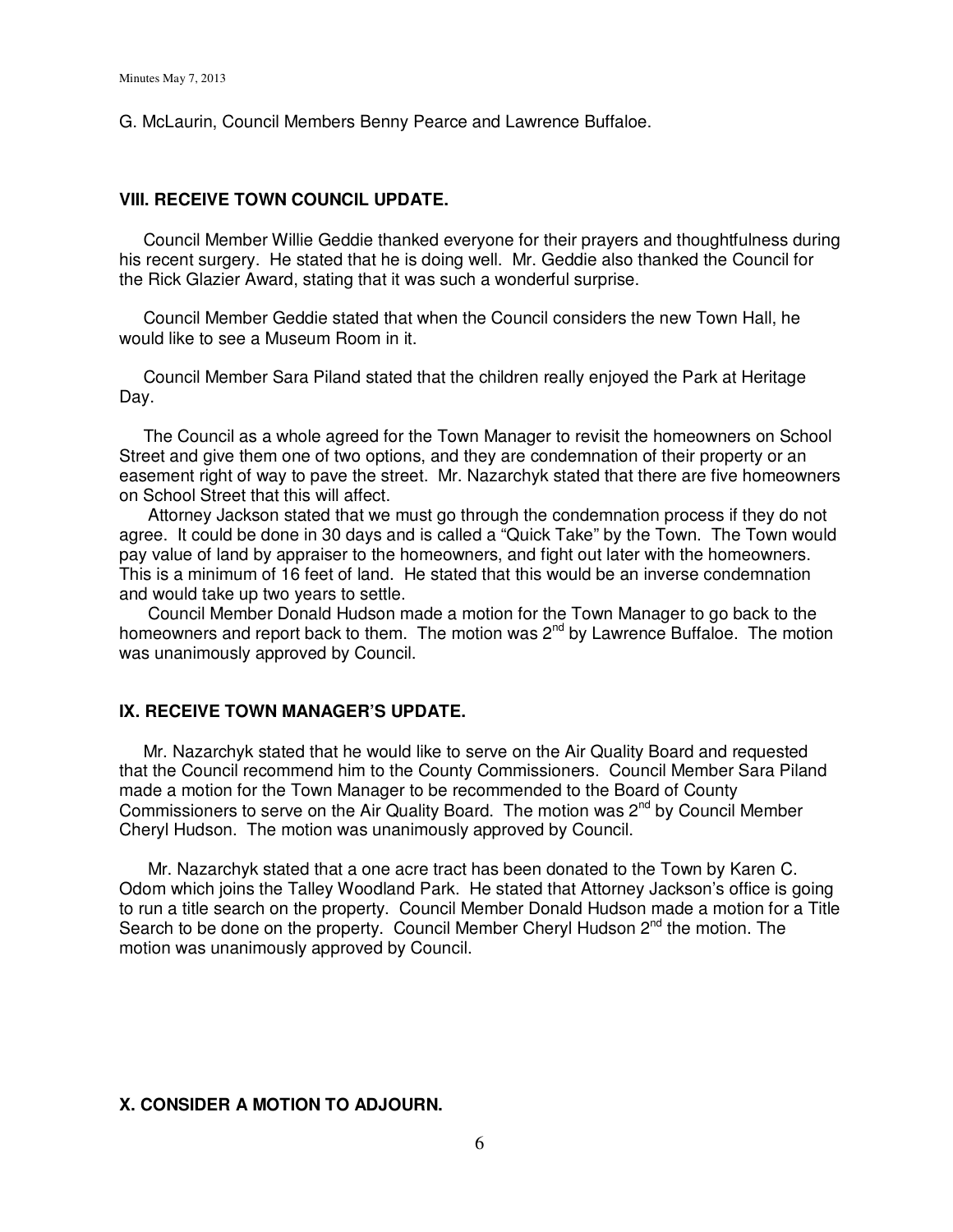G. McLaurin, Council Members Benny Pearce and Lawrence Buffaloe.

### **VIII. RECEIVE TOWN COUNCIL UPDATE.**

 Council Member Willie Geddie thanked everyone for their prayers and thoughtfulness during his recent surgery. He stated that he is doing well. Mr. Geddie also thanked the Council for the Rick Glazier Award, stating that it was such a wonderful surprise.

Council Member Geddie stated that when the Council considers the new Town Hall, he would like to see a Museum Room in it.

 Council Member Sara Piland stated that the children really enjoyed the Park at Heritage Day.

 The Council as a whole agreed for the Town Manager to revisit the homeowners on School Street and give them one of two options, and they are condemnation of their property or an easement right of way to pave the street. Mr. Nazarchyk stated that there are five homeowners on School Street that this will affect.

 Attorney Jackson stated that we must go through the condemnation process if they do not agree. It could be done in 30 days and is called a "Quick Take" by the Town. The Town would pay value of land by appraiser to the homeowners, and fight out later with the homeowners. This is a minimum of 16 feet of land. He stated that this would be an inverse condemnation and would take up two years to settle.

 Council Member Donald Hudson made a motion for the Town Manager to go back to the homeowners and report back to them. The motion was 2<sup>nd</sup> by Lawrence Buffaloe. The motion was unanimously approved by Council.

### **IX. RECEIVE TOWN MANAGER'S UPDATE.**

Mr. Nazarchyk stated that he would like to serve on the Air Quality Board and requested that the Council recommend him to the County Commissioners. Council Member Sara Piland made a motion for the Town Manager to be recommended to the Board of County Commissioners to serve on the Air Quality Board. The motion was  $2^{nd}$  by Council Member Cheryl Hudson. The motion was unanimously approved by Council.

 Mr. Nazarchyk stated that a one acre tract has been donated to the Town by Karen C. Odom which joins the Talley Woodland Park. He stated that Attorney Jackson's office is going to run a title search on the property. Council Member Donald Hudson made a motion for a Title Search to be done on the property. Council Member Cheryl Hudson  $2^{nd}$  the motion. The motion was unanimously approved by Council.

## **X. CONSIDER A MOTION TO ADJOURN.**